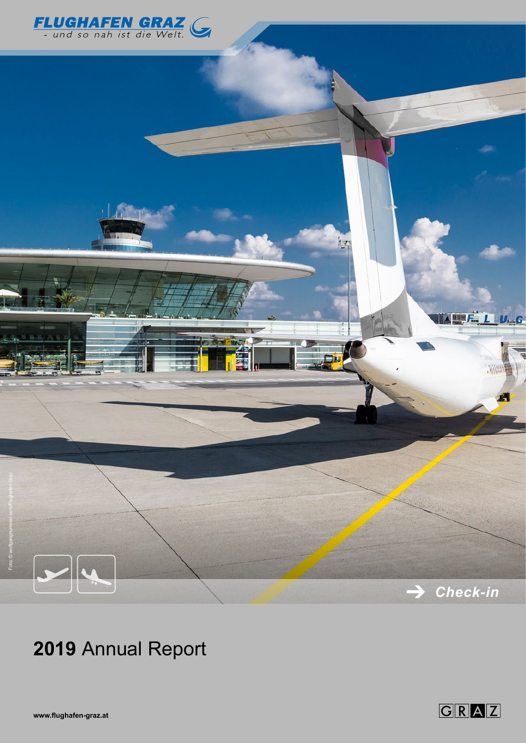



# **2019** Annual Report

**www.flughafen-graz.at**

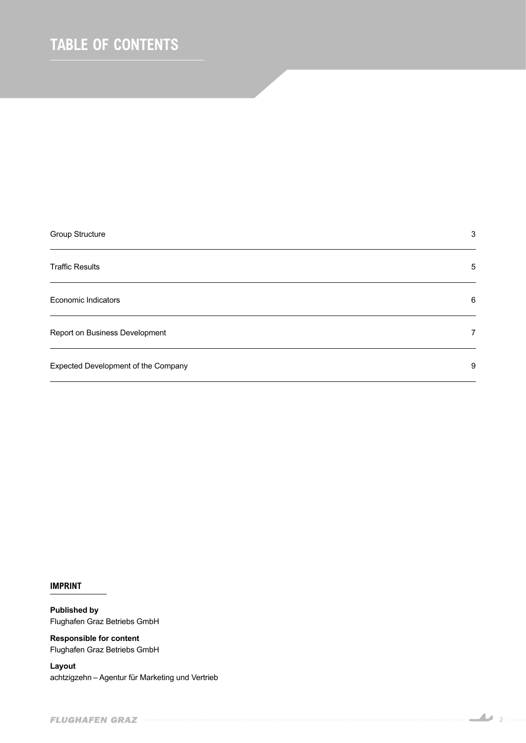## *TABLE OF CONTENTS*

| Group Structure                     | 3              |
|-------------------------------------|----------------|
| <b>Traffic Results</b>              | 5              |
| Economic Indicators                 | 6              |
| Report on Business Development      | $\overline{7}$ |
| Expected Development of the Company | 9              |

*IMPRINT*

**Published by** Flughafen Graz Betriebs GmbH

**Responsible for content** Flughafen Graz Betriebs GmbH

**Layout** achtzigzehn – Agentur für Marketing und Vertrieb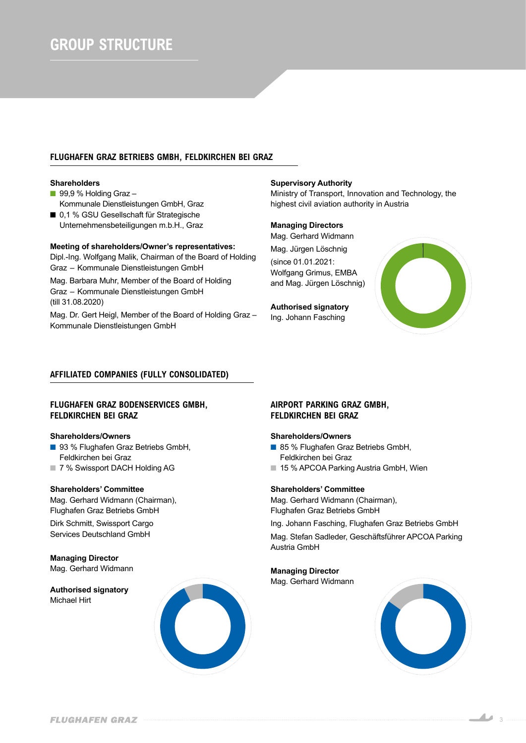## *GROUP STRUCTURE*

## *FLUGHAFEN GRAZ BETRIEBS GMBH, FELDKIRCHEN BEI GRAZ*

#### **Shareholders**

- $\blacksquare$  99,9 % Holding Graz -Kommunale Dienstleistungen GmbH, Graz
- 0,1 % GSU Gesellschaft für Strategische Unternehmensbeteiligungen m.b.H., Graz

### **Meeting of shareholders/Owner's representatives:**

Dipl.-Ing. Wolfgang Malik, Chairman of the Board of Holding Graz – Kommunale Dienstleistungen GmbH

Mag. Barbara Muhr, Member of the Board of Holding Graz – Kommunale Dienstleistungen GmbH (till 31.08.2020)

Mag. Dr. Gert Heigl, Member of the Board of Holding Graz – Kommunale Dienstleistungen GmbH

#### **Supervisory Authority**

Ministry of Transport, Innovation and Technology, the highest civil aviation authority in Austria

#### **Managing Directors**

Mag. Gerhard Widmann

Mag. Jürgen Löschnig (since 01.01.2021: Wolfgang Grimus, EMBA and Mag. Jürgen Löschnig)

**Authorised signatory** Ing. Johann Fasching



### *AFFILIATED COMPANIES (FULLY CONSOLIDATED)*

## *FLUGHAFEN GRAZ BODENSERVICES GMBH, FELDKIRCHEN BEI GRAZ*

#### **Shareholders/Owners**

- 93 % Flughafen Graz Betriebs GmbH, Feldkirchen bei Graz
- 7 % Swissport DACH Holding AG

## **Shareholders' Committee**

Mag. Gerhard Widmann (Chairman), Flughafen Graz Betriebs GmbH

Dirk Schmitt, Swissport Cargo Services Deutschland GmbH

## **Managing Director** Mag. Gerhard Widmann

**Authorised signatory**

Michael Hirt



## *AIRPORT PARKING GRAZ GMBH, FELDKIRCHEN BEI GRAZ*

#### **Shareholders/Owners**

- 85 % Flughafen Graz Betriebs GmbH, Feldkirchen bei Graz
- 15 % APCOA Parking Austria GmbH, Wien

#### **Shareholders' Committee**

Mag. Gerhard Widmann (Chairman), Flughafen Graz Betriebs GmbH

Ing. Johann Fasching, Flughafen Graz Betriebs GmbH

Mag. Stefan Sadleder, Geschäftsführer APCOA Parking Austria GmbH

## **Managing Director**

Mag. Gerhard Widmann



3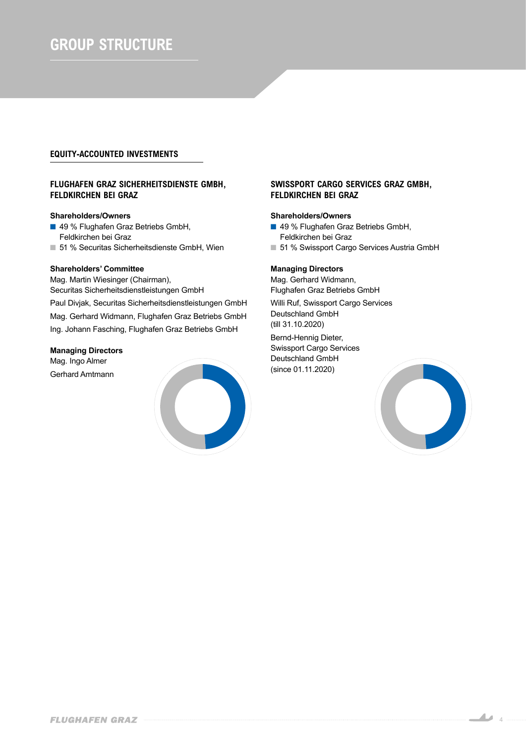## *GROUP STRUCTURE*

## *EQUITY-ACCOUNTED INVESTMENTS*

## *FLUGHAFEN GRAZ SICHERHEITSDIENSTE GMBH, FELDKIRCHEN BEI GRAZ*

## **Shareholders/Owners**

- 49 % Flughafen Graz Betriebs GmbH, Feldkirchen bei Graz
- 51 % Securitas Sicherheitsdienste GmbH, Wien

## **Shareholders' Committee**

Mag. Martin Wiesinger (Chairman), Securitas Sicherheitsdienstleistungen GmbH

Paul Divjak, Securitas Sicherheitsdienstleistungen GmbH Mag. Gerhard Widmann, Flughafen Graz Betriebs GmbH Ing. Johann Fasching, Flughafen Graz Betriebs GmbH

### **Managing Directors**

Mag. Ingo Almer Gerhard Amtmann



## *SWISSPORT CARGO SERVICES GRAZ GMBH, FELDKIRCHEN BEI GRAZ*

#### **Shareholders/Owners**

- 49 % Flughafen Graz Betriebs GmbH, Feldkirchen bei Graz
- 51 % Swissport Cargo Services Austria GmbH

## **Managing Directors**

Mag. Gerhard Widmann, Flughafen Graz Betriebs GmbH

Willi Ruf, Swissport Cargo Services Deutschland GmbH (till 31.10.2020)

Bernd-Hennig Dieter, Swissport Cargo Services Deutschland GmbH (since 01.11.2020)

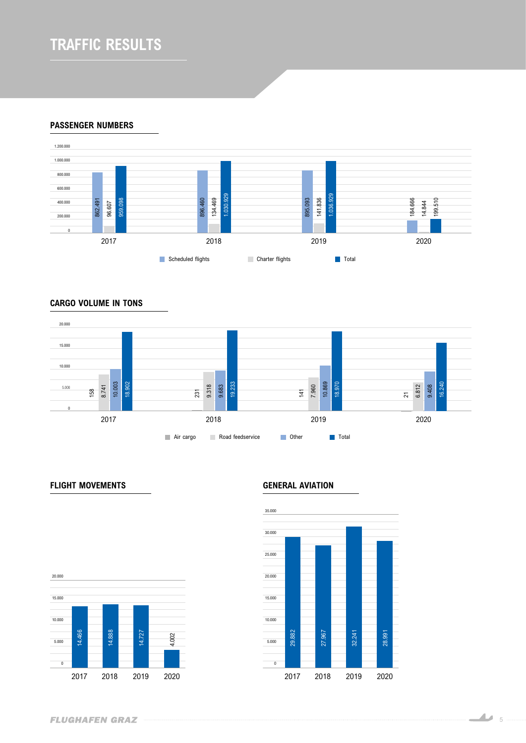## *TRAFFIC RESULTS*

*PASSENGER NUMBERS*



*CARGO VOLUME IN TONS*



## *FLIGHT MOVEMENTS GENERAL AVIATION*



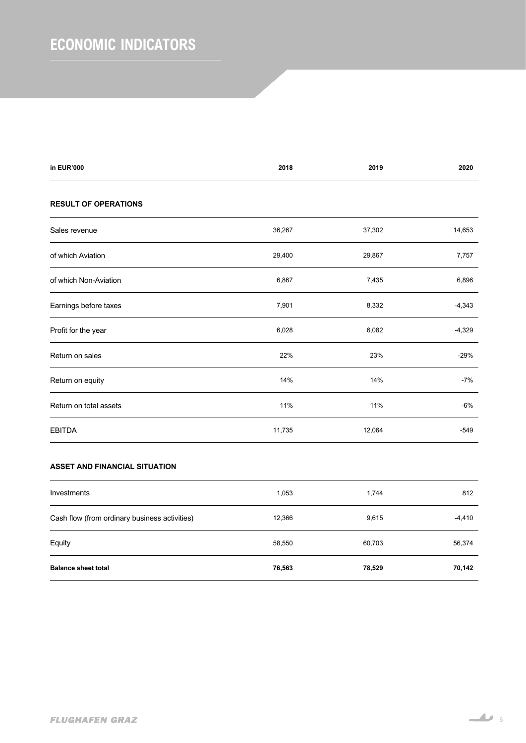## *ECONOMIC INDICATORS*

| in EUR'000                  | 2018   | 2019   | 2020     |
|-----------------------------|--------|--------|----------|
| <b>RESULT OF OPERATIONS</b> |        |        |          |
| Sales revenue               | 36,267 | 37,302 | 14,653   |
| of which Aviation           | 29,400 | 29,867 | 7,757    |
| of which Non-Aviation       | 6,867  | 7,435  | 6,896    |
| Earnings before taxes       | 7,901  | 8,332  | $-4,343$ |
| Profit for the year         | 6,028  | 6,082  | $-4,329$ |
| Return on sales             | 22%    | 23%    | $-29%$   |
| Return on equity            | 14%    | 14%    | $-7%$    |
| Return on total assets      | 11%    | 11%    | $-6%$    |
| <b>EBITDA</b>               | 11,735 | 12,064 | $-549$   |
|                             |        |        |          |

## *ASSET AND FINANCIAL SITUATION*

| Investments                                   | 1,053  | 1,744  | 812      |
|-----------------------------------------------|--------|--------|----------|
| Cash flow (from ordinary business activities) | 12,366 | 9,615  | $-4,410$ |
| Equity                                        | 58,550 | 60,703 | 56,374   |
| <b>Balance sheet total</b>                    | 76,563 | 78,529 | 70,142   |

<u>16</u>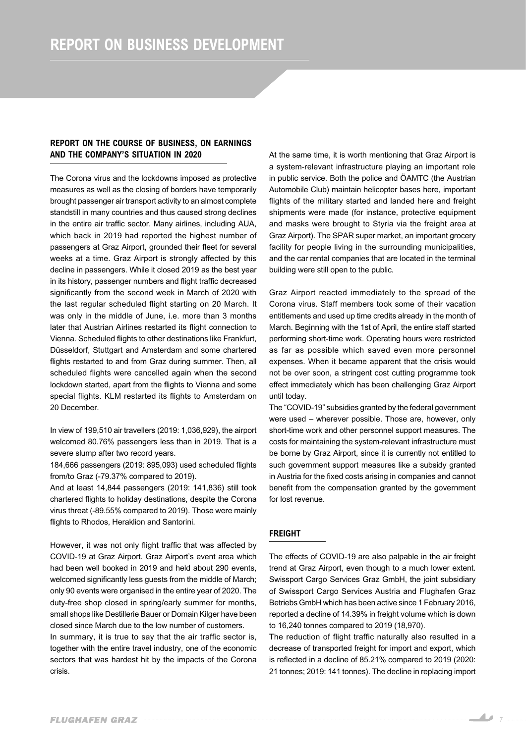## *REPORT ON THE COURSE OF BUSINESS, ON EARNINGS AND THE COMPANY'S SITUATION IN 2020*

*The Corona virus and the lockdowns imposed as protective measures as well as the closing of borders have temporarily brought passenger air transport activity to an almost complete standstill in many countries and thus caused strong declines in the entire air traffic sector. Many airlines, including AUA, which back in 2019 had reported the highest number of passengers at Graz Airport, grounded their fleet for several weeks at a time. Graz Airport is strongly affected by this decline in passengers. While it closed 2019 as the best year in its history, passenger numbers and flight traffic decreased significantly from the second week in March of 2020 with the last regular scheduled flight starting on 20 March. It was only in the middle of June, i.e. more than 3 months later that Austrian Airlines restarted its flight connection to Vienna. Scheduled flights to other destinations like Frankfurt, Düsseldorf, Stuttgart and Amsterdam and some chartered*  flights restarted to and from Graz during summer. Then, all *scheduled flights were cancelled again when the second lockdown started, apart from the flights to Vienna and some special flights. KLM restarted its flights to Amsterdam on 20 December.*

*In view of 199,510 air travellers (2019: 1,036,929), the airport welcomed 80.76% passengers less than in 2019. That is a severe slump after two record years.*

*184,666 passengers (2019: 895,093) used scheduled flights from/to Graz (-79.37% compared to 2019).*

*And at least 14,844 passengers (2019: 141,836) still took chartered flights to holiday destinations, despite the Corona virus threat (-89.55% compared to 2019). Those were mainly flights to Rhodos, Heraklion and Santorini.*

*However, it was not only flight traffic that was affected by COVID-19 at Graz Airport. Graz Airport's event area which had been well booked in 2019 and held about 290 events, welcomed significantly less guests from the middle of March; only 90 events were organised in the entire year of 2020. The duty-free shop closed in spring/early summer for months, small shops like Destillerie Bauer or Domain Kilger have been closed since March due to the low number of customers.*

*In summary, it is true to say that the air traffic sector is, together with the entire travel industry, one of the economic sectors that was hardest hit by the impacts of the Corona crisis.*

*At the same time, it is worth mentioning that Graz Airport is a system-relevant infrastructure playing an important role in public service. Both the police and ÖAMTC (the Austrian Automobile Club) maintain helicopter bases here, important flights of the military started and landed here and freight shipments were made (for instance, protective equipment and masks were brought to Styria via the freight area at Graz Airport). The SPAR super market, an important grocery facility for people living in the surrounding municipalities, and the car rental companies that are located in the terminal building were still open to the public.*

*Graz Airport reacted immediately to the spread of the Corona virus. Staff members took some of their vacation entitlements and used up time credits already in the month of March. Beginning with the 1st of April, the entire staff started performing short-time work. Operating hours were restricted as far as possible which saved even more personnel expenses. When it became apparent that the crisis would not be over soon, a stringent cost cutting programme took effect immediately which has been challenging Graz Airport until today.*

*The "COVID-19" subsidies granted by the federal government were used – wherever possible. Those are, however, only short-time work and other personnel support measures. The costs for maintaining the system-relevant infrastructure must be borne by Graz Airport, since it is currently not entitled to such government support measures like a subsidy granted in Austria for the fixed costs arising in companies and cannot benefit from the compensation granted by the government for lost revenue.*

## *FREIGHT*

*The effects of COVID-19 are also palpable in the air freight trend at Graz Airport, even though to a much lower extent. Swissport Cargo Services Graz GmbH, the joint subsidiary of Swissport Cargo Services Austria and Flughafen Graz Betriebs GmbH which has been active since 1 February 2016, reported a decline of 14.39% in freight volume which is down to 16,240 tonnes compared to 2019 (18,970).*

*The reduction of flight traffic naturally also resulted in a decrease of transported freight for import and export, which is reflected in a decline of 85.21% compared to 2019 (2020: 21 tonnes; 2019: 141 tonnes). The decline in replacing import*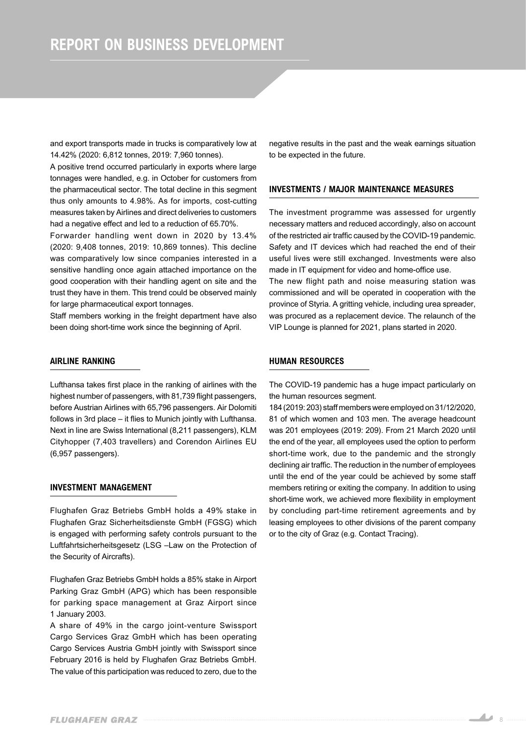*and export transports made in trucks is comparatively low at 14.42% (2020: 6,812 tonnes, 2019: 7,960 tonnes).*

*A positive trend occurred particularly in exports where large tonnages were handled, e.g. in October for customers from the pharmaceutical sector. The total decline in this segment thus only amounts to 4.98%. As for imports, cost-cutting measures taken by Airlines and direct deliveries to customers had a negative effect and led to a reduction of 65.70%.*

*Forwarder handling went down in 2020 by 13.4% (2020: 9,408 tonnes, 2019: 10,869 tonnes). This decline was comparatively low since companies interested in a sensitive handling once again attached importance on the good cooperation with their handling agent on site and the trust they have in them. This trend could be observed mainly for large pharmaceutical export tonnages.*

*Staff members working in the freight department have also been doing short-time work since the beginning of April.*

### *AIRLINE RANKING*

*Lufthansa takes first place in the ranking of airlines with the highest number of passengers, with 81,739 flight passengers, before Austrian Airlines with 65,796 passengers. Air Dolomiti follows in 3rd place – it flies to Munich jointly with Lufthansa. Next in line are Swiss International (8,211 passengers), KLM Cityhopper (7,403 travellers) and Corendon Airlines EU (6,957 passengers).*

#### *INVESTMENT MANAGEMENT*

*Flughafen Graz Betriebs GmbH holds a 49% stake in Flughafen Graz Sicherheitsdienste GmbH (FGSG) which is engaged with performing safety controls pursuant to the Luftfahrtsicherheitsgesetz (LSG –Law on the Protection of the Security of Aircrafts).*

*Flughafen Graz Betriebs GmbH holds a 85% stake in Airport Parking Graz GmbH (APG) which has been responsible for parking space management at Graz Airport since 1 January 2003.*

*A share of 49% in the cargo joint-venture Swissport Cargo Services Graz GmbH which has been operating Cargo Services Austria GmbH jointly with Swissport since February 2016 is held by Flughafen Graz Betriebs GmbH. The value of this participation was reduced to zero, due to the* 

*negative results in the past and the weak earnings situation to be expected in the future.*

## *INVESTMENTS / MAJOR MAINTENANCE MEASURES*

*The investment programme was assessed for urgently necessary matters and reduced accordingly, also on account of the restricted air traffic caused by the COVID-19 pandemic. Safety and IT devices which had reached the end of their useful lives were still exchanged. Investments were also made in IT equipment for video and home-office use. The new flight path and noise measuring station was commissioned and will be operated in cooperation with the province of Styria. A gritting vehicle, including urea spreader, was procured as a replacement device. The relaunch of the VIP Lounge is planned for 2021, plans started in 2020.*

#### *HUMAN RESOURCES*

*The COVID-19 pandemic has a huge impact particularly on the human resources segment.*

*184 (2019: 203) staff members were employed on 31/12/2020, 81 of which women and 103 men. The average headcount was 201 employees (2019: 209). From 21 March 2020 until the end of the year, all employees used the option to perform short-time work, due to the pandemic and the strongly declining air traffic. The reduction in the number of employees until the end of the year could be achieved by some staff members retiring or exiting the company. In addition to using short-time work, we achieved more flexibility in employment by concluding part-time retirement agreements and by leasing employees to other divisions of the parent company or to the city of Graz (e.g. Contact Tracing).*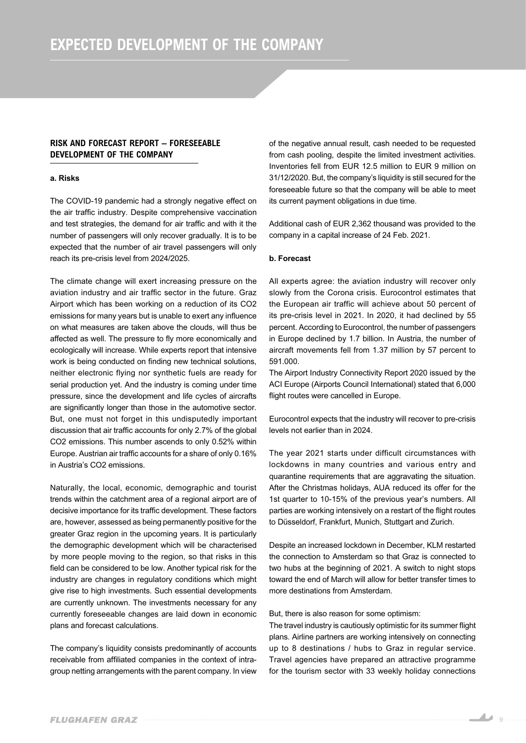## *RISK AND FORECAST REPORT – FORESEEABLE DEVELOPMENT OF THE COMPANY*

#### *a. Risks*

*The COVID-19 pandemic had a strongly negative effect on the air traffic industry. Despite comprehensive vaccination and test strategies, the demand for air traffic and with it the number of passengers will only recover gradually. It is to be expected that the number of air travel passengers will only reach its pre-crisis level from 2024/2025.*

*The climate change will exert increasing pressure on the aviation industry and air traffic sector in the future. Graz Airport which has been working on a reduction of its CO2 emissions for many years but is unable to exert any influence on what measures are taken above the clouds, will thus be affected as well. The pressure to fly more economically and ecologically will increase. While experts report that intensive work is being conducted on finding new technical solutions, neither electronic flying nor synthetic fuels are ready for serial production yet. And the industry is coming under time pressure, since the development and life cycles of aircrafts are significantly longer than those in the automotive sector. But, one must not forget in this undisputedly important discussion that air traffic accounts for only 2.7% of the global CO2 emissions. This number ascends to only 0.52% within Europe. Austrian air traffic accounts for a share of only 0.16% in Austria's CO2 emissions.*

*Naturally, the local, economic, demographic and tourist trends within the catchment area of a regional airport are of decisive importance for its traffic development. These factors are, however, assessed as being permanently positive for the greater Graz region in the upcoming years. It is particularly the demographic development which will be characterised by more people moving to the region, so that risks in this field can be considered to be low. Another typical risk for the industry are changes in regulatory conditions which might give rise to high investments. Such essential developments are currently unknown. The investments necessary for any currently foreseeable changes are laid down in economic plans and forecast calculations.*

*The company's liquidity consists predominantly of accounts receivable from affiliated companies in the context of intragroup netting arrangements with the parent company. In view*  *of the negative annual result, cash needed to be requested from cash pooling, despite the limited investment activities. Inventories fell from EUR 12.5 million to EUR 9 million on 31/12/2020. But, the company's liquidity is still secured for the foreseeable future so that the company will be able to meet its current payment obligations in due time.*

*Additional cash of EUR 2,362 thousand was provided to the company in a capital increase of 24 Feb. 2021.*

#### *b. Forecast*

*All experts agree: the aviation industry will recover only slowly from the Corona crisis. Eurocontrol estimates that the European air traffic will achieve about 50 percent of its pre-crisis level in 2021. In 2020, it had declined by 55 percent. According to Eurocontrol, the number of passengers in Europe declined by 1.7 billion. In Austria, the number of aircraft movements fell from 1.37 million by 57 percent to 591.000.*

*The Airport Industry Connectivity Report 2020 issued by the ACI Europe (Airports Council International) stated that 6,000 flight routes were cancelled in Europe.*

*Eurocontrol expects that the industry will recover to pre-crisis levels not earlier than in 2024.*

*The year 2021 starts under difficult circumstances with lockdowns in many countries and various entry and quarantine requirements that are aggravating the situation. After the Christmas holidays, AUA reduced its offer for the 1st quarter to 10-15% of the previous year's numbers. All parties are working intensively on a restart of the flight routes to Düsseldorf, Frankfurt, Munich, Stuttgart and Zurich.*

*Despite an increased lockdown in December, KLM restarted the connection to Amsterdam so that Graz is connected to two hubs at the beginning of 2021. A switch to night stops toward the end of March will allow for better transfer times to more destinations from Amsterdam.*

#### *But, there is also reason for some optimism:*

*The travel industry is cautiously optimistic for its summer flight plans. Airline partners are working intensively on connecting up to 8 destinations / hubs to Graz in regular service. Travel agencies have prepared an attractive programme for the tourism sector with 33 weekly holiday connections*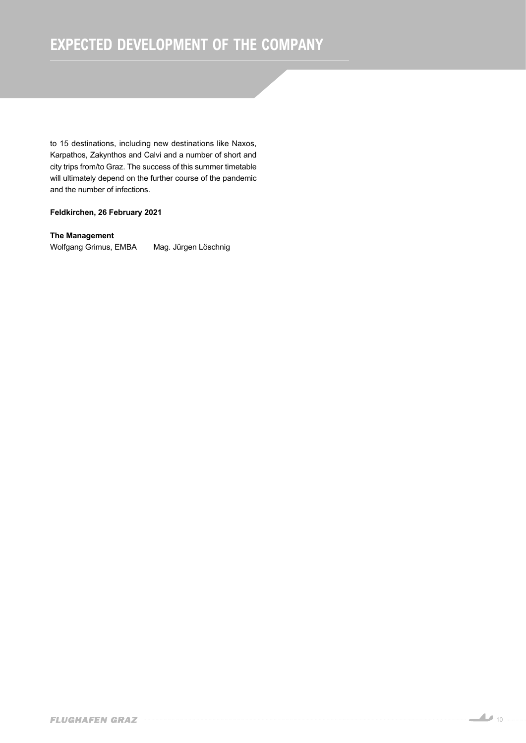## *EXPECTED DEVELOPMENT OF THE COMPANY*

*to 15 destinations, including new destinations like Naxos, Karpathos, Zakynthos and Calvi and a number of short and city trips from/to Graz. The success of this summer timetable will ultimately depend on the further course of the pandemic and the number of infections.*

## *Feldkirchen, 26 February 2021*

### *The Management*

*Wolfgang Grimus, EMBA Mag. Jürgen Löschnig*